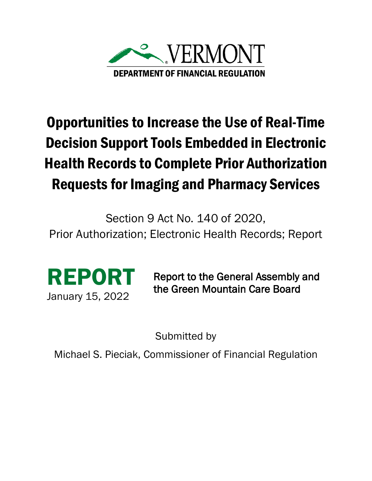

## Opportunities to Increase the Use of Real-Time Decision Support Tools Embedded in Electronic Health Records to Complete Prior Authorization Requests for Imaging and Pharmacy Services

Section 9 Act No. 140 of 2020,

Prior Authorization; Electronic Health Records; Report



Report to the General Assembly and the Green Mountain Care Board

Submitted by

Michael S. Pieciak, Commissioner of Financial Regulation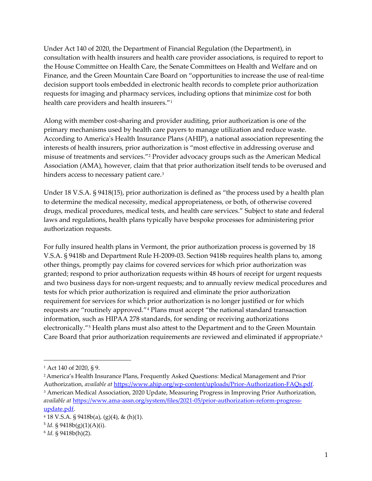Under Act 140 of 2020, the Department of Financial Regulation (the Department), in consultation with health insurers and health care provider associations, is required to report to the House Committee on Health Care, the Senate Committees on Health and Welfare and on Finance, and the Green Mountain Care Board on "opportunities to increase the use of real-time decision support tools embedded in electronic health records to complete prior authorization requests for imaging and pharmacy services, including options that minimize cost for both health care providers and health insurers."[1](#page-1-0)

Along with member cost-sharing and provider auditing, prior authorization is one of the primary mechanisms used by health care payers to manage utilization and reduce waste. According to America's Health Insurance Plans (AHIP), a national association representing the interests of health insurers, prior authorization is "most effective in addressing overuse and misuse of treatments and services."[2](#page-1-1) Provider advocacy groups such as the American Medical Association (AMA), however, claim that that prior authorization itself tends to be overused and hinders access to necessary patient care.<sup>[3](#page-1-2)</sup>

Under 18 V.S.A. § 9418(15), prior authorization is defined as "the process used by a health plan to determine the medical necessity, medical appropriateness, or both, of otherwise covered drugs, medical procedures, medical tests, and health care services." Subject to state and federal laws and regulations, health plans typically have bespoke processes for administering prior authorization requests.

For fully insured health plans in Vermont, the prior authorization process is governed by 18 V.S.A. § 9418b and Department Rule H-2009-03. Section 9418b requires health plans to, among other things, promptly pay claims for covered services for which prior authorization was granted; respond to prior authorization requests within 48 hours of receipt for urgent requests and two business days for non-urgent requests; and to annually review medical procedures and tests for which prior authorization is required and eliminate the prior authorization requirement for services for which prior authorization is no longer justified or for which requests are "routinely approved."[4](#page-1-3) Plans must accept "the national standard transaction information, such as HIPAA 278 standards, for sending or receiving authorizations electronically."[5](#page-1-4) Health plans must also attest to the Department and to the Green Mountain Care Board that prior authorization requirements are reviewed and eliminated if appropriate.<sup>[6](#page-1-5)</sup>

<span id="page-1-0"></span><sup>1</sup> Act 140 of 2020, § 9.

<span id="page-1-2"></span><span id="page-1-1"></span><sup>2</sup> America's Health Insurance Plans, Frequently Asked Questions: Medical Management and Prior Authorization, *available at* <https://www.ahip.org/wp-content/uploads/Prior-Authorization-FAQs.pdf>. <sup>3</sup> American Medical Association, 2020 Update, Measuring Progress in Improving Prior Authorization, *available at* [https://www.ama-assn.org/system/files/2021-05/prior-authorization-reform-progress](https://www.ama-assn.org/system/files/2021-05/prior-authorization-reform-progress-update.pdf)[update.pdf.](https://www.ama-assn.org/system/files/2021-05/prior-authorization-reform-progress-update.pdf)

<span id="page-1-3"></span> $418$  V.S.A. § 9418b(a), (g)(4), & (h)(1).

<span id="page-1-4"></span> $5$  *Id.* § 9418b(g)(1)(A)(i).

<span id="page-1-5"></span><sup>6</sup> *Id.* § 9418b(h)(2).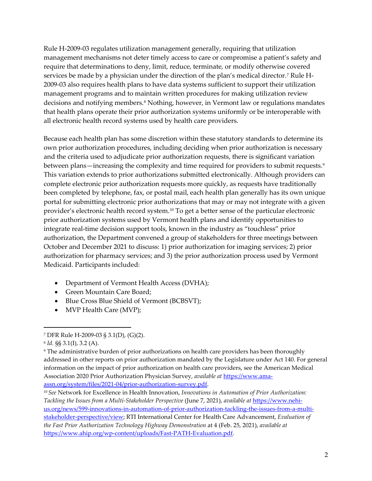Rule H-2009-03 regulates utilization management generally, requiring that utilization management mechanisms not deter timely access to care or compromise a patient's safety and require that determinations to deny, limit, reduce, terminate, or modify otherwise covered services be made by a physician under the direction of the plan's medical director.<sup>[7](#page-2-0)</sup> Rule H-2009-03 also requires health plans to have data systems sufficient to support their utilization management programs and to maintain written procedures for making utilization review decisions and notifying members.<sup>[8](#page-2-1)</sup> Nothing, however, in Vermont law or regulations mandates that health plans operate their prior authorization systems uniformly or be interoperable with all electronic health record systems used by health care providers.

Because each health plan has some discretion within these statutory standards to determine its own prior authorization procedures, including deciding when prior authorization is necessary and the criteria used to adjudicate prior authorization requests, there is significant variation between plans—increasing the complexity and time required for providers to submit requests.<sup>[9](#page-2-2)</sup> This variation extends to prior authorizations submitted electronically. Although providers can complete electronic prior authorization requests more quickly, as requests have traditionally been completed by telephone, fax, or postal mail, each health plan generally has its own unique portal for submitting electronic prior authorizations that may or may not integrate with a given provider's electronic health record system.[10](#page-2-3) To get a better sense of the particular electronic prior authorization systems used by Vermont health plans and identify opportunities to integrate real-time decision support tools, known in the industry as "touchless" prior authorization, the Department convened a group of stakeholders for three meetings between October and December 2021 to discuss: 1) prior authorization for imaging services; 2) prior authorization for pharmacy services; and 3) the prior authorization process used by Vermont Medicaid. Participants included:

- Department of Vermont Health Access (DVHA);
- Green Mountain Care Board;
- Blue Cross Blue Shield of Vermont (BCBSVT);
- MVP Health Care (MVP);

<span id="page-2-0"></span><sup>7</sup> DFR Rule H-2009-03 § 3.1(D), (G)(2).

<span id="page-2-1"></span><sup>8</sup> *Id.* §§ 3.1(I), 3.2 (A).

<span id="page-2-2"></span><sup>9</sup> The administrative burden of prior authorizations on health care providers has been thoroughly addressed in other reports on prior authorization mandated by the Legislature under Act 140. For general information on the impact of prior authorization on health care providers, see the American Medical Association 2020 Prior Authorization Physician Survey, *available at* [https://www.ama](https://www.ama-assn.org/system/files/2021-04/prior-authorization-survey.pdf)[assn.org/system/files/2021-04/prior-authorization-survey.pdf.](https://www.ama-assn.org/system/files/2021-04/prior-authorization-survey.pdf)

<span id="page-2-3"></span><sup>10</sup> *See* Network for Excellence in Health Innovation, *Innovations in Automation of Prior Authorization: Tackling the Issues from a Multi-Stakeholder Perspective* (June 7, 2021), *available at* [https://www.nehi](https://www.nehi-us.org/news/599-innovations-in-automation-of-prior-authorization-tackling-the-issues-from-a-multi-stakeholder-perspective/view)[us.org/news/599-innovations-in-automation-of-prior-authorization-tackling-the-issues-from-a-multi](https://www.nehi-us.org/news/599-innovations-in-automation-of-prior-authorization-tackling-the-issues-from-a-multi-stakeholder-perspective/view)[stakeholder-perspective/view;](https://www.nehi-us.org/news/599-innovations-in-automation-of-prior-authorization-tackling-the-issues-from-a-multi-stakeholder-perspective/view) RTI International Center for Health Care Advancement, *Evaluation of the Fast Prior Authorization Technology Highway Demonstration* at 4 (Feb. 25, 2021), *available at* [https://www.ahip.org/wp-content/uploads/Fast-PATH-Evaluation.pdf.](https://www.ahip.org/wp-content/uploads/Fast-PATH-Evaluation.pdf)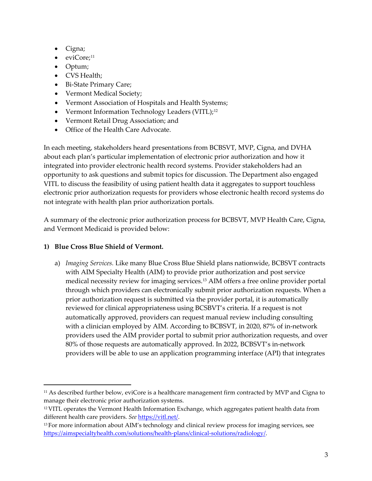- Cigna;
- eviCore;<sup>[11](#page-3-0)</sup>
- Optum;
- CVS Health;
- Bi-State Primary Care;
- Vermont Medical Society;
- Vermont Association of Hospitals and Health Systems;
- Vermont Information Technology Leaders (VITL);<sup>[12](#page-3-1)</sup>
- Vermont Retail Drug Association; and
- Office of the Health Care Advocate.

In each meeting, stakeholders heard presentations from BCBSVT, MVP, Cigna, and DVHA about each plan's particular implementation of electronic prior authorization and how it integrated into provider electronic health record systems. Provider stakeholders had an opportunity to ask questions and submit topics for discussion. The Department also engaged VITL to discuss the feasibility of using patient health data it aggregates to support touchless electronic prior authorization requests for providers whose electronic health record systems do not integrate with health plan prior authorization portals.

A summary of the electronic prior authorization process for BCBSVT, MVP Health Care, Cigna, and Vermont Medicaid is provided below:

## **1) Blue Cross Blue Shield of Vermont.**

a) *Imaging Services.* Like many Blue Cross Blue Shield plans nationwide, BCBSVT contracts with AIM Specialty Health (AIM) to provide prior authorization and post service medical necessity review for imaging services.[13](#page-3-2) AIM offers a free online provider portal through which providers can electronically submit prior authorization requests. When a prior authorization request is submitted via the provider portal, it is automatically reviewed for clinical appropriateness using BCSBVT's criteria. If a request is not automatically approved, providers can request manual review including consulting with a clinician employed by AIM. According to BCBSVT, in 2020, 87% of in-network providers used the AIM provider portal to submit prior authorization requests, and over 80% of those requests are automatically approved. In 2022, BCBSVT's in-network providers will be able to use an application programming interface (API) that integrates

<span id="page-3-0"></span> $11$  As described further below, eviCore is a healthcare management firm contracted by MVP and Cigna to manage their electronic prior authorization systems.

<span id="page-3-1"></span> $12$  VITL operates the Vermont Health Information Exchange, which aggregates patient health data from different health care providers. *See* [https://vitl.net/.](https://vitl.net/)

<span id="page-3-2"></span><sup>&</sup>lt;sup>13</sup> For more information about AIM's technology and clinical review process for imaging services, see [https://aimspecialtyhealth.com/solutions/health-plans/clinical-solutions/radiology/.](https://aimspecialtyhealth.com/solutions/health-plans/clinical-solutions/radiology/)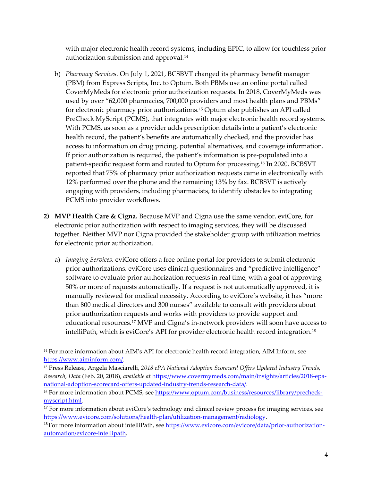with major electronic health record systems, including EPIC, to allow for touchless prior authorization submission and approval.[14](#page-4-0)

- b) *Pharmacy Services.* On July 1, 2021, BCSBVT changed its pharmacy benefit manager (PBM) from Express Scripts, Inc. to Optum. Both PBMs use an online portal called CoverMyMeds for electronic prior authorization requests. In 2018, CoverMyMeds was used by over "62,000 pharmacies, 700,000 providers and most health plans and PBMs" for electronic pharmacy prior authorizations[.15](#page-4-1) Optum also publishes an API called PreCheck MyScript (PCMS), that integrates with major electronic health record systems. With PCMS, as soon as a provider adds prescription details into a patient's electronic health record, the patient's benefits are automatically checked, and the provider has access to information on drug pricing, potential alternatives, and coverage information. If prior authorization is required, the patient's information is pre-populated into a patient-specific request form and routed to Optum for processing.[16](#page-4-2) In 2020, BCBSVT reported that 75% of pharmacy prior authorization requests came in electronically with 12% performed over the phone and the remaining 13% by fax. BCBSVT is actively engaging with providers, including pharmacists, to identify obstacles to integrating PCMS into provider workflows.
- **2) MVP Health Care & Cigna.** Because MVP and Cigna use the same vendor, eviCore, for electronic prior authorization with respect to imaging services, they will be discussed together. Neither MVP nor Cigna provided the stakeholder group with utilization metrics for electronic prior authorization.
	- a) *Imaging Services.* eviCore offers a free online portal for providers to submit electronic prior authorizations. eviCore uses clinical questionnaires and "predictive intelligence" software to evaluate prior authorization requests in real time, with a goal of approving 50% or more of requests automatically. If a request is not automatically approved, it is manually reviewed for medical necessity. According to eviCore's website, it has "more than 800 medical directors and 300 nurses" available to consult with providers about prior authorization requests and works with providers to provide support and educational resources.[17](#page-4-3) MVP and Cigna's in-network providers will soon have access to intelliPath, which is eviCore's API for provider electronic health record integration.[18](#page-4-4)

<span id="page-4-0"></span><sup>&</sup>lt;sup>14</sup> For more information about AIM's API for electronic health record integration, AIM Inform, see [https://www.aiminform.com/.](https://www.aiminform.com/) 

<span id="page-4-1"></span><sup>15</sup> Press Release, Angela Masciarelli, *2018 ePA National Adoption Scorecard Offers Updated Industry Trends, Research, Data* (Feb. 20, 2018), *available at* [https://www.covermymeds.com/main/insights/articles/2018-epa](https://www.covermymeds.com/main/insights/articles/2018-epa-national-adoption-scorecard-offers-updated-industry-trends-research-data/)[national-adoption-scorecard-offers-updated-industry-trends-research-data/.](https://www.covermymeds.com/main/insights/articles/2018-epa-national-adoption-scorecard-offers-updated-industry-trends-research-data/)

<span id="page-4-2"></span><sup>&</sup>lt;sup>16</sup> For more information about PCMS, se[e https://www.optum.com/business/resources/library/precheck](https://www.optum.com/business/resources/library/precheck-myscript.html)[myscript.html.](https://www.optum.com/business/resources/library/precheck-myscript.html) 

<span id="page-4-3"></span><sup>&</sup>lt;sup>17</sup> For more information about eviCore's technology and clinical review process for imaging services, see [https://www.evicore.com/solutions/health-plan/utilization-management/radiology.](https://www.evicore.com/solutions/health-plan/utilization-management/radiology)

<span id="page-4-4"></span><sup>&</sup>lt;sup>18</sup> For more information about intelliPath, see [https://www.evicore.com/evicore/data/prior-authorization](https://www.evicore.com/evicore/data/prior-authorization-automation/evicore-intellipath)[automation/evicore-intellipath.](https://www.evicore.com/evicore/data/prior-authorization-automation/evicore-intellipath)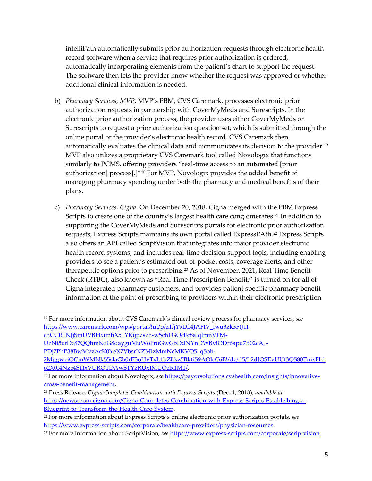intelliPath automatically submits prior authorization requests through electronic health record software when a service that requires prior authorization is ordered, automatically incorporating elements from the patient's chart to support the request. The software then lets the provider know whether the request was approved or whether additional clinical information is needed.

- b) *Pharmacy Services, MVP*. MVP's PBM, CVS Caremark, processes electronic prior authorization requests in partnership with CoverMyMeds and Surescripts. In the electronic prior authorization process, the provider uses either CoverMyMeds or Surescripts to request a prior authorization question set, which is submitted through the online portal or the provider's electronic health record. CVS Caremark then automatically evaluates the clinical data and communicates its decision to the provider.<sup>[19](#page-5-0)</sup> MVP also utilizes a proprietary CVS Caremark tool called Novologix that functions similarly to PCMS, offering providers "real-time access to an automated [prior authorization] process[.]"<sup>[20](#page-5-1)</sup> For MVP, Novologix provides the added benefit of managing pharmacy spending under both the pharmacy and medical benefits of their plans.
- c) *Pharmacy Services, Cigna.* On December 20, 2018, Cigna merged with the PBM Express Scripts to create one of the country's largest health care conglomerates.<sup>[21](#page-5-2)</sup> In addition to supporting the CoverMyMeds and Surescripts portals for electronic prior authorization requests, Express Scripts maintains its own portal called ExpressPAth.[22](#page-5-3) Express Scripts also offers an API called ScriptVision that integrates into major provider electronic health record systems, and includes real-time decision support tools, including enabling providers to see a patient's estimated out-of-pocket costs, coverage alerts, and other therapeutic options prior to prescribing.<sup>[23](#page-5-4)</sup> As of November, 2021, Real Time Benefit Check (RTBC), also known as "Real Time Prescription Benefit," is turned on for all of Cigna integrated pharmacy customers, and provides patient specific pharmacy benefit information at the point of prescribing to providers within their electronic prescription

<span id="page-5-0"></span><sup>19</sup> For more information about CVS Caremark's clinical review process for pharmacy services, *see* [https://www.caremark.com/wps/portal/!ut/p/z1/jY9LC4JAFIV\\_iwu3zk3FtJ1I-](https://www.caremark.com/wps/portal/!ut/p/z1/jY9LC4JAFIV_iwu3zk3FtJ1I-chCCR_NJjSmUVBHximhX5_YKijp7s7h-w5chFGOcFc8alqImnVFM-UzNi5utDc87QQhmKoG8dayguMuWoFroGwGbDdNYnDWBviODr6apu7B02cA_-PDj7PhP38BwMvzAcK0YeX7VbsrNZMizMmNcMKVO5_qSoh-2MggwziOCmWMNkS5slaGb0rFBoHyTxL1bZLkz5BktiS9AOlcC6E!/dz/d5/L2dJQSEvUUt3QS80TmxFL1o2X0I4Nzc4S1IxVURQTDAwSTYzRUxIMUQzR1M1/)

[chCCR\\_NJjSmUVBHximhX5\\_YKijp7s7h-w5chFGOcFc8alqImnVFM-](https://www.caremark.com/wps/portal/!ut/p/z1/jY9LC4JAFIV_iwu3zk3FtJ1I-chCCR_NJjSmUVBHximhX5_YKijp7s7h-w5chFGOcFc8alqImnVFM-UzNi5utDc87QQhmKoG8dayguMuWoFroGwGbDdNYnDWBviODr6apu7B02cA_-PDj7PhP38BwMvzAcK0YeX7VbsrNZMizMmNcMKVO5_qSoh-2MggwziOCmWMNkS5slaGb0rFBoHyTxL1bZLkz5BktiS9AOlcC6E!/dz/d5/L2dJQSEvUUt3QS80TmxFL1o2X0I4Nzc4S1IxVURQTDAwSTYzRUxIMUQzR1M1/)

[UzNi5utDc87QQhmKoG8dayguMuWoFroGwGbDdNYnDWBviODr6apu7B02cA\\_-](https://www.caremark.com/wps/portal/!ut/p/z1/jY9LC4JAFIV_iwu3zk3FtJ1I-chCCR_NJjSmUVBHximhX5_YKijp7s7h-w5chFGOcFc8alqImnVFM-UzNi5utDc87QQhmKoG8dayguMuWoFroGwGbDdNYnDWBviODr6apu7B02cA_-PDj7PhP38BwMvzAcK0YeX7VbsrNZMizMmNcMKVO5_qSoh-2MggwziOCmWMNkS5slaGb0rFBoHyTxL1bZLkz5BktiS9AOlcC6E!/dz/d5/L2dJQSEvUUt3QS80TmxFL1o2X0I4Nzc4S1IxVURQTDAwSTYzRUxIMUQzR1M1/)

[PDj7PhP38BwMvzAcK0YeX7VbsrNZMizMmNcMKVO5\\_qSoh-](https://www.caremark.com/wps/portal/!ut/p/z1/jY9LC4JAFIV_iwu3zk3FtJ1I-chCCR_NJjSmUVBHximhX5_YKijp7s7h-w5chFGOcFc8alqImnVFM-UzNi5utDc87QQhmKoG8dayguMuWoFroGwGbDdNYnDWBviODr6apu7B02cA_-PDj7PhP38BwMvzAcK0YeX7VbsrNZMizMmNcMKVO5_qSoh-2MggwziOCmWMNkS5slaGb0rFBoHyTxL1bZLkz5BktiS9AOlcC6E!/dz/d5/L2dJQSEvUUt3QS80TmxFL1o2X0I4Nzc4S1IxVURQTDAwSTYzRUxIMUQzR1M1/)

[<sup>2</sup>MggwziOCmWMNkS5slaGb0rFBoHyTxL1bZLkz5BktiS9AOlcC6E!/dz/d5/L2dJQSEvUUt3QS80TmxFL1](https://www.caremark.com/wps/portal/!ut/p/z1/jY9LC4JAFIV_iwu3zk3FtJ1I-chCCR_NJjSmUVBHximhX5_YKijp7s7h-w5chFGOcFc8alqImnVFM-UzNi5utDc87QQhmKoG8dayguMuWoFroGwGbDdNYnDWBviODr6apu7B02cA_-PDj7PhP38BwMvzAcK0YeX7VbsrNZMizMmNcMKVO5_qSoh-2MggwziOCmWMNkS5slaGb0rFBoHyTxL1bZLkz5BktiS9AOlcC6E!/dz/d5/L2dJQSEvUUt3QS80TmxFL1o2X0I4Nzc4S1IxVURQTDAwSTYzRUxIMUQzR1M1/) [o2X0I4Nzc4S1IxVURQTDAwSTYzRUxIMUQzR1M1/.](https://www.caremark.com/wps/portal/!ut/p/z1/jY9LC4JAFIV_iwu3zk3FtJ1I-chCCR_NJjSmUVBHximhX5_YKijp7s7h-w5chFGOcFc8alqImnVFM-UzNi5utDc87QQhmKoG8dayguMuWoFroGwGbDdNYnDWBviODr6apu7B02cA_-PDj7PhP38BwMvzAcK0YeX7VbsrNZMizMmNcMKVO5_qSoh-2MggwziOCmWMNkS5slaGb0rFBoHyTxL1bZLkz5BktiS9AOlcC6E!/dz/d5/L2dJQSEvUUt3QS80TmxFL1o2X0I4Nzc4S1IxVURQTDAwSTYzRUxIMUQzR1M1/)

<span id="page-5-1"></span><sup>20</sup> For more information about Novologix, *see* [https://payorsolutions.cvshealth.com/insights/innovative](https://payorsolutions.cvshealth.com/insights/innovative-cross-benefit-management)[cross-benefit-management.](https://payorsolutions.cvshealth.com/insights/innovative-cross-benefit-management)

<span id="page-5-2"></span><sup>21</sup> Press Release, *Cigna Completes Combination with Express Scripts* (Dec. 1, 2018), *available at* [https://newsroom.cigna.com/Cigna-Completes-Combination-with-Express-Scripts-Establishing-a-](https://newsroom.cigna.com/Cigna-Completes-Combination-with-Express-Scripts-Establishing-a-Blueprint-to-Transform-the-Health-Care-System)[Blueprint-to-Transform-the-Health-Care-System.](https://newsroom.cigna.com/Cigna-Completes-Combination-with-Express-Scripts-Establishing-a-Blueprint-to-Transform-the-Health-Care-System)

<span id="page-5-3"></span><sup>22</sup> For more information about Express Scripts's online electronic prior authorization portals, *see*  [https://www.express-scripts.com/corporate/healthcare-providers/physician-resources.](https://www.express-scripts.com/corporate/healthcare-providers/physician-resources)

<span id="page-5-4"></span><sup>23</sup> For more information about ScriptVision, *see* [https://www.express-scripts.com/corporate/scriptvision.](https://www.express-scripts.com/corporate/scriptvision)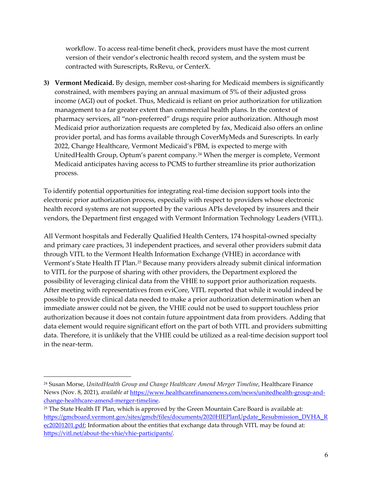workflow. To access real-time benefit check, providers must have the most current version of their vendor's electronic health record system, and the system must be contracted with Surescripts, RxRevu, or CenterX.

**3) Vermont Medicaid.** By design, member cost-sharing for Medicaid members is significantly constrained, with members paying an annual maximum of 5% of their adjusted gross income (AGI) out of pocket. Thus, Medicaid is reliant on prior authorization for utilization management to a far greater extent than commercial health plans. In the context of pharmacy services, all "non-preferred" drugs require prior authorization. Although most Medicaid prior authorization requests are completed by fax, Medicaid also offers an online provider portal, and has forms available through CoverMyMeds and Surescripts. In early 2022, Change Healthcare, Vermont Medicaid's PBM, is expected to merge with UnitedHealth Group, Optum's parent company.<sup>[24](#page-6-0)</sup> When the merger is complete, Vermont Medicaid anticipates having access to PCMS to further streamline its prior authorization process.

To identify potential opportunities for integrating real-time decision support tools into the electronic prior authorization process, especially with respect to providers whose electronic health record systems are not supported by the various APIs developed by insurers and their vendors, the Department first engaged with Vermont Information Technology Leaders (VITL).

All Vermont hospitals and Federally Qualified Health Centers, 174 hospital-owned specialty and primary care practices, 31 independent practices, and several other providers submit data through VITL to the Vermont Health Information Exchange (VHIE) in accordance with Vermont's State Health IT Plan.[25](#page-6-1) Because many providers already submit clinical information to VITL for the purpose of sharing with other providers, the Department explored the possibility of leveraging clinical data from the VHIE to support prior authorization requests. After meeting with representatives from eviCore, VITL reported that while it would indeed be possible to provide clinical data needed to make a prior authorization determination when an immediate answer could not be given, the VHIE could not be used to support touchless prior authorization because it does not contain future appointment data from providers. Adding that data element would require significant effort on the part of both VITL and providers submitting data. Therefore, it is unlikely that the VHIE could be utilized as a real-time decision support tool in the near-term.

<span id="page-6-0"></span><sup>24</sup> Susan Morse, *UnitedHealth Group and Change Healthcare Amend Merger Timeline*, Healthcare Finance News (Nov. 8, 2021), *available at* [https://www.healthcarefinancenews.com/news/unitedhealth-group-and](https://www.healthcarefinancenews.com/news/unitedhealth-group-and-change-healthcare-amend-merger-timeline)[change-healthcare-amend-merger-timeline.](https://www.healthcarefinancenews.com/news/unitedhealth-group-and-change-healthcare-amend-merger-timeline)

<span id="page-6-1"></span><sup>25</sup> The State Health IT Plan, which is approved by the Green Mountain Care Board is available at: [https://gmcboard.vermont.gov/sites/gmcb/files/documents/2020HIEPlanUpdate\\_Resubmission\\_DVHA\\_R](https://gmcboard.vermont.gov/sites/gmcb/files/documents/2020HIEPlanUpdate_Resubmission_DVHA_Rec20201201.pdf) [ec20201201.pdf;](https://gmcboard.vermont.gov/sites/gmcb/files/documents/2020HIEPlanUpdate_Resubmission_DVHA_Rec20201201.pdf) Information about the entities that exchange data through VITL may be found at: [https://vitl.net/about-the-vhie/vhie-participants/.](https://vitl.net/about-the-vhie/vhie-participants/)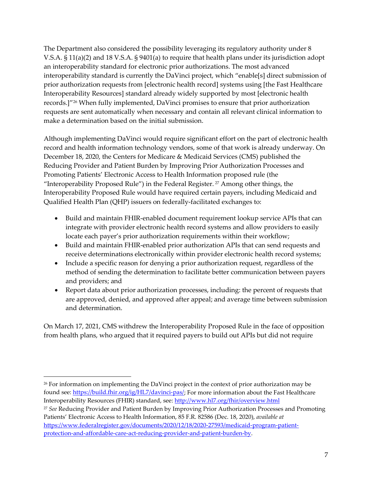The Department also considered the possibility leveraging its regulatory authority under 8 V.S.A. § 11(a)(2) and 18 V.S.A. § 9401(a) to require that health plans under its jurisdiction adopt an interoperability standard for electronic prior authorizations. The most advanced interoperability standard is currently the DaVinci project, which "enable[s] direct submission of prior authorization requests from [electronic health record] systems using [the Fast Healthcare Interoperability Resources] standard already widely supported by most [electronic health records.]"[26](#page-7-0) When fully implemented, DaVinci promises to ensure that prior authorization requests are sent automatically when necessary and contain all relevant clinical information to make a determination based on the initial submission.

Although implementing DaVinci would require significant effort on the part of electronic health record and health information technology vendors, some of that work is already underway. On December 18, 2020, the Centers for Medicare & Medicaid Services (CMS) published the Reducing Provider and Patient Burden by Improving Prior Authorization Processes and Promoting Patients' Electronic Access to Health Information proposed rule (the "Interoperability Proposed Rule") in the Federal Register. [27](#page-7-1) Among other things, the Interoperability Proposed Rule would have required certain payers, including Medicaid and Qualified Health Plan (QHP) issuers on federally-facilitated exchanges to:

- Build and maintain FHIR-enabled document requirement lookup service APIs that can integrate with provider electronic health record systems and allow providers to easily locate each payer's prior authorization requirements within their workflow;
- Build and maintain FHIR-enabled prior authorization APIs that can send requests and receive determinations electronically within provider electronic health record systems;
- Include a specific reason for denying a prior authorization request, regardless of the method of sending the determination to facilitate better communication between payers and providers; and
- Report data about prior authorization processes, including: the percent of requests that are approved, denied, and approved after appeal; and average time between submission and determination.

On March 17, 2021, CMS withdrew the Interoperability Proposed Rule in the face of opposition from health plans, who argued that it required payers to build out APIs but did not require

<span id="page-7-1"></span><span id="page-7-0"></span><sup>&</sup>lt;sup>26</sup> For information on implementing the DaVinci project in the context of prior authorization may be found see: [https://build.fhir.org/ig/HL7/davinci-pas/;](https://build.fhir.org/ig/HL7/davinci-pas/) For more information about the Fast Healthcare Interoperability Resources (FHIR) standard, see:<http://www.hl7.org/fhir/overview.html> <sup>27</sup> *See* Reducing Provider and Patient Burden by Improving Prior Authorization Processes and Promoting Patients' Electronic Access to Health Information, 85 F.R. 82586 (Dec. 18, 2020), *available at* [https://www.federalregister.gov/documents/2020/12/18/2020-27593/medicaid-program-patient](https://www.federalregister.gov/documents/2020/12/18/2020-27593/medicaid-program-patient-protection-and-affordable-care-act-reducing-provider-and-patient-burden-by)[protection-and-affordable-care-act-reducing-provider-and-patient-burden-by.](https://www.federalregister.gov/documents/2020/12/18/2020-27593/medicaid-program-patient-protection-and-affordable-care-act-reducing-provider-and-patient-burden-by)